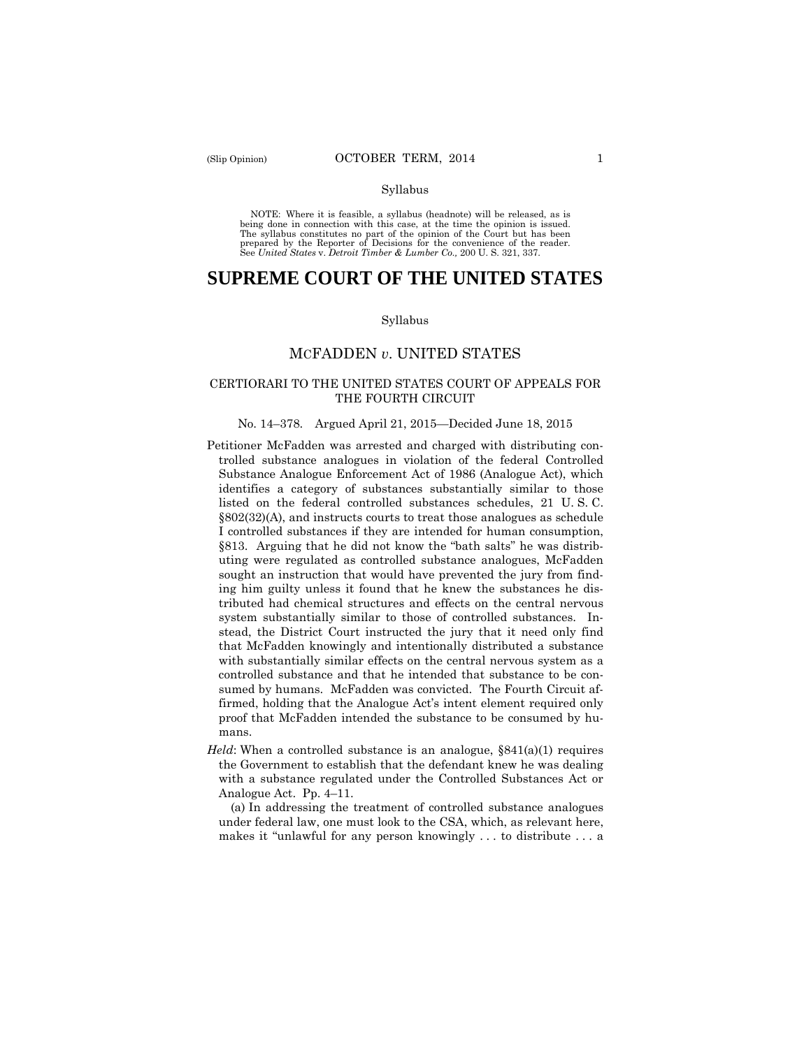#### Syllabus

 NOTE: Where it is feasible, a syllabus (headnote) will be released, as is being done in connection with this case, at the time the opinion is issued. The syllabus constitutes no part of the opinion of the Court but has been<br>prepared by the Reporter of Decisions for the convenience of the reader.<br>See United States v. Detroit Timber & Lumber Co., 200 U.S. 321, 337.

# **SUPREME COURT OF THE UNITED STATES**

#### Syllabus

## MCFADDEN *v*. UNITED STATES

## CERTIORARI TO THE UNITED STATES COURT OF APPEALS FOR THE FOURTH CIRCUIT

#### No. 14–378. Argued April 21, 2015—Decided June 18, 2015

- listed on the federal controlled substances schedules, 21 U. S. C. Petitioner McFadden was arrested and charged with distributing controlled substance analogues in violation of the federal Controlled Substance Analogue Enforcement Act of 1986 (Analogue Act), which identifies a category of substances substantially similar to those §802(32)(A), and instructs courts to treat those analogues as schedule I controlled substances if they are intended for human consumption, §813. Arguing that he did not know the "bath salts" he was distributing were regulated as controlled substance analogues, McFadden sought an instruction that would have prevented the jury from finding him guilty unless it found that he knew the substances he distributed had chemical structures and effects on the central nervous system substantially similar to those of controlled substances. Instead, the District Court instructed the jury that it need only find that McFadden knowingly and intentionally distributed a substance with substantially similar effects on the central nervous system as a controlled substance and that he intended that substance to be consumed by humans. McFadden was convicted. The Fourth Circuit affirmed, holding that the Analogue Act's intent element required only proof that McFadden intended the substance to be consumed by humans.
- *Held*: When a controlled substance is an analogue,  $\S841(a)(1)$  requires the Government to establish that the defendant knew he was dealing with a substance regulated under the Controlled Substances Act or Analogue Act. Pp. 4–11.

(a) In addressing the treatment of controlled substance analogues under federal law, one must look to the CSA, which, as relevant here, makes it "unlawful for any person knowingly . . . to distribute . . . a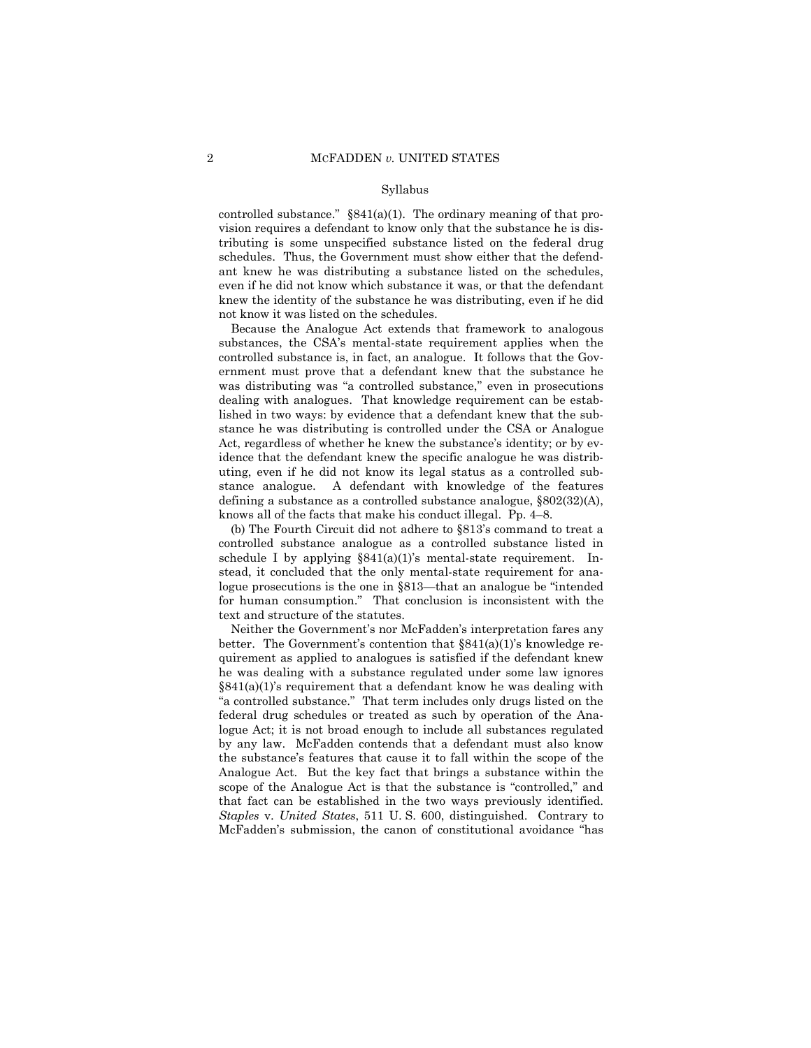#### Syllabus

controlled substance."  $\S 841(a)(1)$ . The ordinary meaning of that provision requires a defendant to know only that the substance he is distributing is some unspecified substance listed on the federal drug schedules. Thus, the Government must show either that the defendant knew he was distributing a substance listed on the schedules, even if he did not know which substance it was, or that the defendant knew the identity of the substance he was distributing, even if he did not know it was listed on the schedules.

Because the Analogue Act extends that framework to analogous substances, the CSA's mental-state requirement applies when the controlled substance is, in fact, an analogue. It follows that the Government must prove that a defendant knew that the substance he was distributing was "a controlled substance," even in prosecutions dealing with analogues. That knowledge requirement can be established in two ways: by evidence that a defendant knew that the substance he was distributing is controlled under the CSA or Analogue Act, regardless of whether he knew the substance's identity; or by evidence that the defendant knew the specific analogue he was distributing, even if he did not know its legal status as a controlled substance analogue. A defendant with knowledge of the features defining a substance as a controlled substance analogue, §802(32)(A), knows all of the facts that make his conduct illegal. Pp. 4–8.

(b) The Fourth Circuit did not adhere to §813's command to treat a controlled substance analogue as a controlled substance listed in schedule I by applying  $\S 841(a)(1)$ 's mental-state requirement. Instead, it concluded that the only mental-state requirement for analogue prosecutions is the one in §813—that an analogue be "intended for human consumption." That conclusion is inconsistent with the text and structure of the statutes.

Neither the Government's nor McFadden's interpretation fares any better. The Government's contention that §841(a)(1)'s knowledge requirement as applied to analogues is satisfied if the defendant knew he was dealing with a substance regulated under some law ignores  $§841(a)(1)$ 's requirement that a defendant know he was dealing with "a controlled substance." That term includes only drugs listed on the federal drug schedules or treated as such by operation of the Analogue Act; it is not broad enough to include all substances regulated by any law. McFadden contends that a defendant must also know the substance's features that cause it to fall within the scope of the Analogue Act. But the key fact that brings a substance within the scope of the Analogue Act is that the substance is "controlled," and that fact can be established in the two ways previously identified. *Staples* v. *United States*, 511 U. S. 600, distinguished. Contrary to McFadden's submission, the canon of constitutional avoidance "has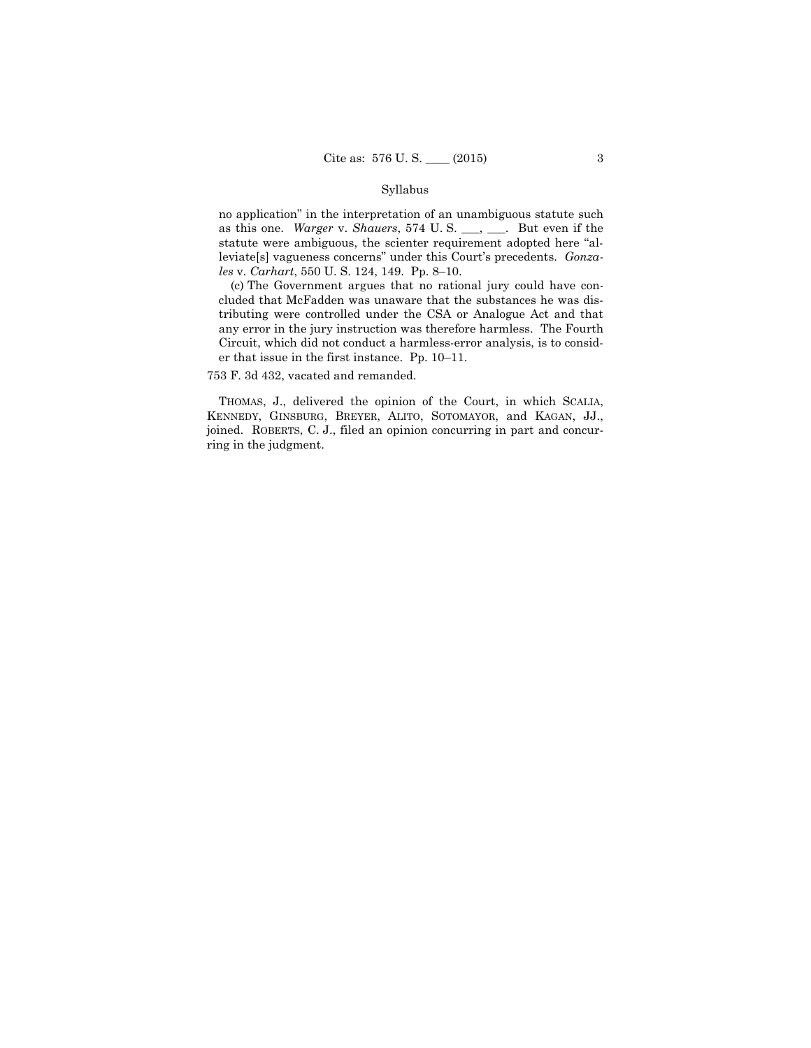### Syllabus

no application" in the interpretation of an unambiguous statute such as this one. *Warger* v. *Shauers*, 574 U. S. \_\_\_, \_\_\_. But even if the statute were ambiguous, the scienter requirement adopted here "alleviate[s] vagueness concerns" under this Court's precedents. *Gonzales* v. *Carhart*, 550 U. S. 124, 149. Pp. 8–10.

(c) The Government argues that no rational jury could have concluded that McFadden was unaware that the substances he was distributing were controlled under the CSA or Analogue Act and that any error in the jury instruction was therefore harmless. The Fourth Circuit, which did not conduct a harmless-error analysis, is to consider that issue in the first instance. Pp. 10–11.

753 F. 3d 432, vacated and remanded.

THOMAS, J., delivered the opinion of the Court, in which SCALIA, KENNEDY, GINSBURG, BREYER, ALITO, SOTOMAYOR, and KAGAN, JJ., joined. ROBERTS, C. J., filed an opinion concurring in part and concurring in the judgment.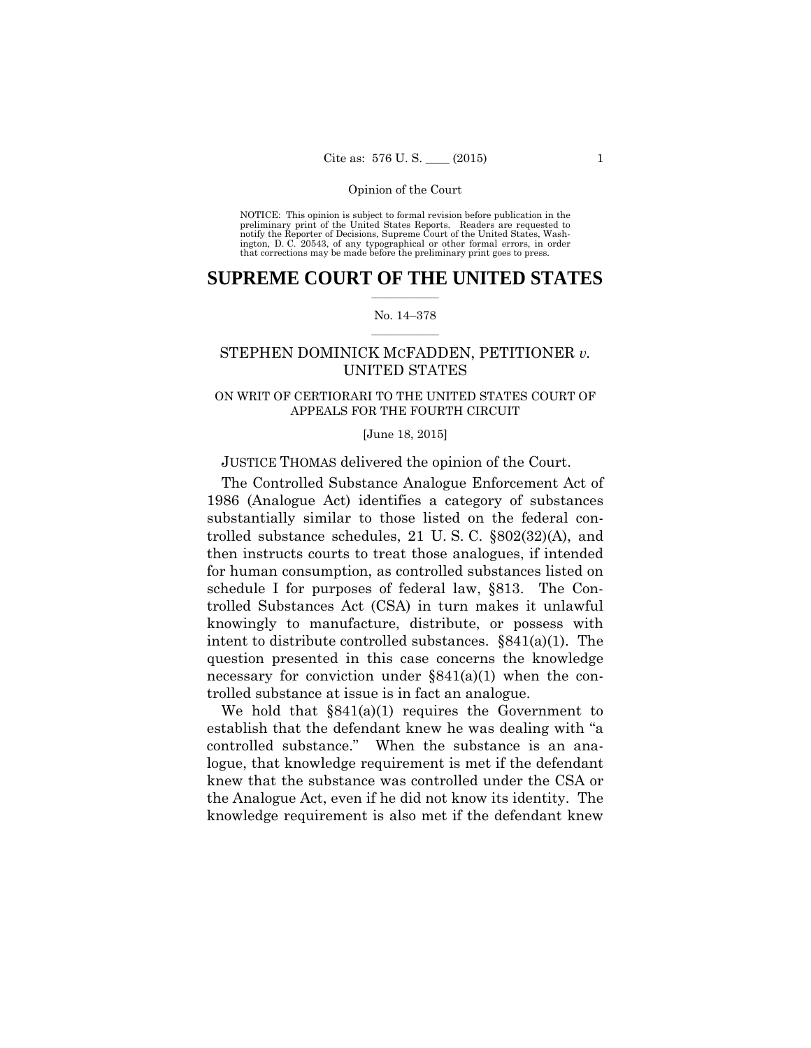preliminary print of the United States Reports. Readers are requested to notify the Reporter of Decisions, Supreme Court of the United States, Wash- ington, D. C. 20543, of any typographical or other formal errors, in order that corrections may be made before the preliminary print goes to press. NOTICE: This opinion is subject to formal revision before publication in the

## $\frac{1}{2}$  , where  $\frac{1}{2}$ **SUPREME COURT OF THE UNITED STATES**

#### $\frac{1}{2}$  ,  $\frac{1}{2}$  ,  $\frac{1}{2}$  ,  $\frac{1}{2}$  ,  $\frac{1}{2}$  ,  $\frac{1}{2}$ No. 14–378

## STEPHEN DOMINICK MCFADDEN, PETITIONER *v.* UNITED STATES

## ON WRIT OF CERTIORARI TO THE UNITED STATES COURT OF APPEALS FOR THE FOURTH CIRCUIT

#### [June 18, 2015]

## JUSTICE THOMAS delivered the opinion of the Court.

The Controlled Substance Analogue Enforcement Act of 1986 (Analogue Act) identifies a category of substances substantially similar to those listed on the federal controlled substance schedules, 21 U. S. C. §802(32)(A), and then instructs courts to treat those analogues, if intended for human consumption, as controlled substances listed on schedule I for purposes of federal law, §813. The Controlled Substances Act (CSA) in turn makes it unlawful knowingly to manufacture, distribute, or possess with intent to distribute controlled substances. §841(a)(1). The question presented in this case concerns the knowledge necessary for conviction under  $\S 841(a)(1)$  when the controlled substance at issue is in fact an analogue.

We hold that  $\S 841(a)(1)$  requires the Government to establish that the defendant knew he was dealing with "a controlled substance." When the substance is an analogue, that knowledge requirement is met if the defendant knew that the substance was controlled under the CSA or the Analogue Act, even if he did not know its identity. The knowledge requirement is also met if the defendant knew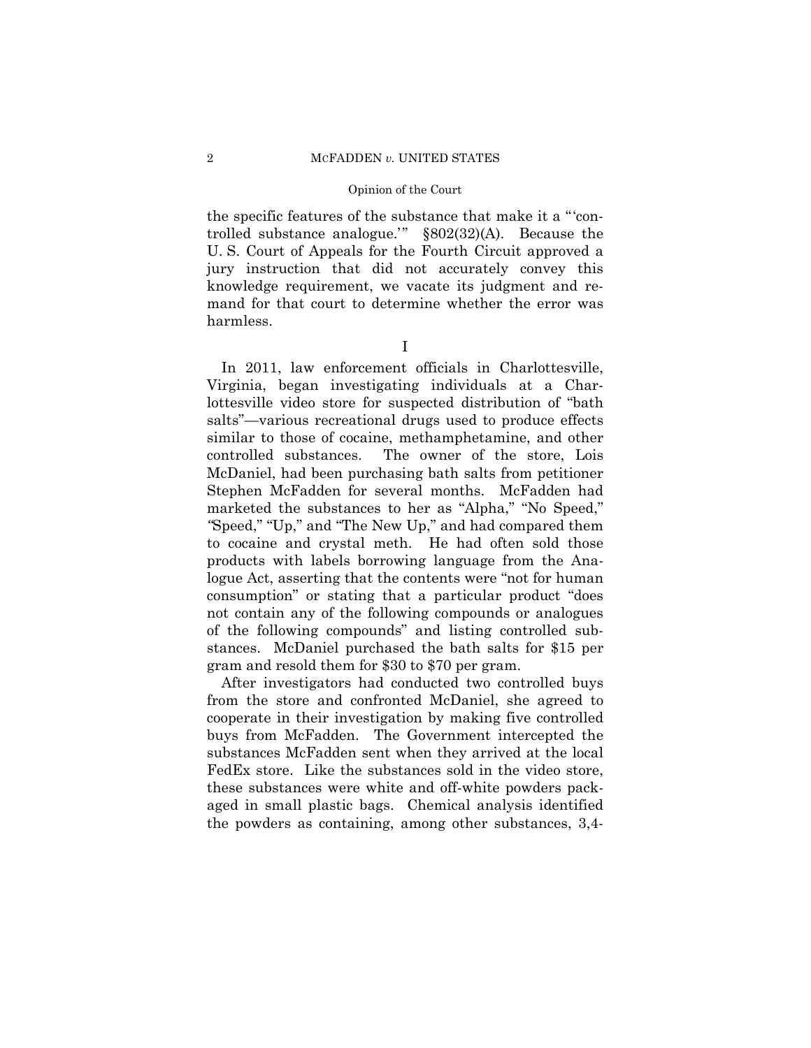the specific features of the substance that make it a "'controlled substance analogue.'" §802(32)(A). Because the U. S. Court of Appeals for the Fourth Circuit approved a jury instruction that did not accurately convey this knowledge requirement, we vacate its judgment and remand for that court to determine whether the error was harmless.

I

In 2011, law enforcement officials in Charlottesville, Virginia, began investigating individuals at a Charlottesville video store for suspected distribution of "bath salts"—various recreational drugs used to produce effects similar to those of cocaine, methamphetamine, and other controlled substances. The owner of the store, Lois McDaniel, had been purchasing bath salts from petitioner Stephen McFadden for several months. McFadden had marketed the substances to her as "Alpha," "No Speed," *"*Speed," "Up," and "The New Up," and had compared them to cocaine and crystal meth. He had often sold those products with labels borrowing language from the Analogue Act, asserting that the contents were "not for human consumption" or stating that a particular product "does not contain any of the following compounds or analogues of the following compounds" and listing controlled substances. McDaniel purchased the bath salts for \$15 per gram and resold them for \$30 to \$70 per gram.

After investigators had conducted two controlled buys from the store and confronted McDaniel, she agreed to cooperate in their investigation by making five controlled buys from McFadden. The Government intercepted the substances McFadden sent when they arrived at the local FedEx store. Like the substances sold in the video store, these substances were white and off-white powders packaged in small plastic bags. Chemical analysis identified the powders as containing, among other substances, 3,4-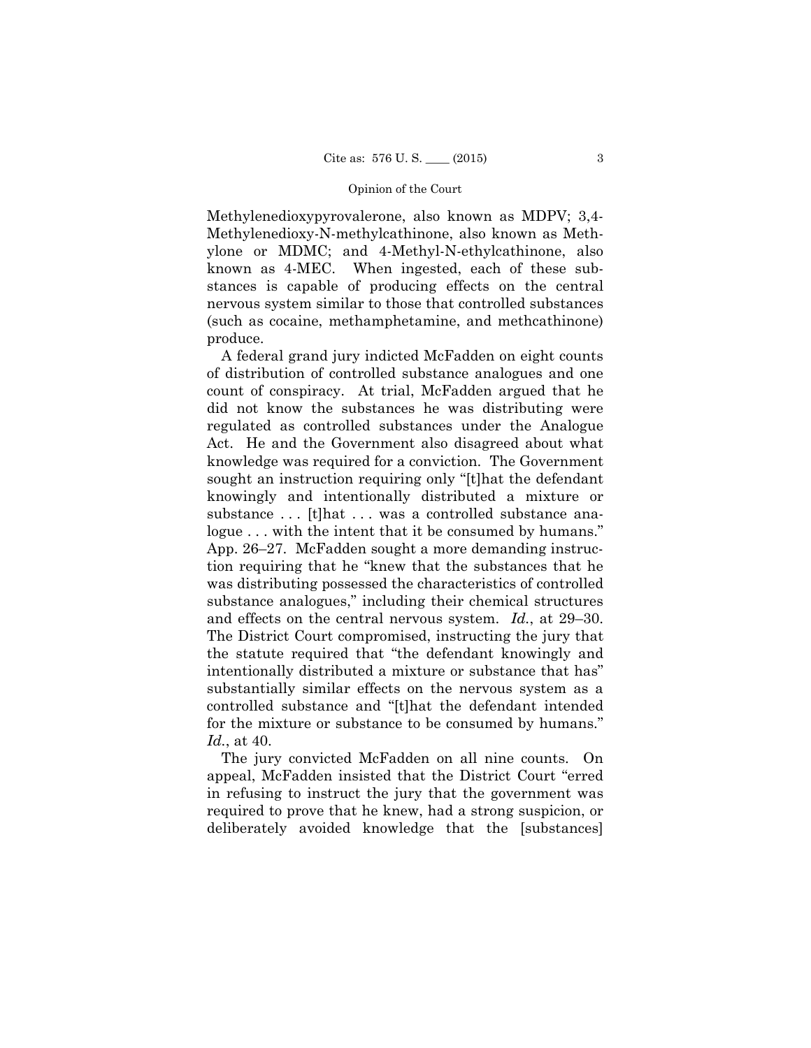Methylenedioxypyrovalerone, also known as MDPV; 3,4- Methylenedioxy-N-methylcathinone, also known as Methylone or MDMC; and 4-Methyl-N-ethylcathinone, also known as 4-MEC. When ingested, each of these substances is capable of producing effects on the central nervous system similar to those that controlled substances (such as cocaine, methamphetamine, and methcathinone) produce.

A federal grand jury indicted McFadden on eight counts of distribution of controlled substance analogues and one count of conspiracy. At trial, McFadden argued that he did not know the substances he was distributing were regulated as controlled substances under the Analogue Act. He and the Government also disagreed about what knowledge was required for a conviction. The Government sought an instruction requiring only "[t]hat the defendant knowingly and intentionally distributed a mixture or substance ... [t]hat ... was a controlled substance analogue ... with the intent that it be consumed by humans." App. 26–27. McFadden sought a more demanding instruction requiring that he "knew that the substances that he was distributing possessed the characteristics of controlled substance analogues," including their chemical structures and effects on the central nervous system. *Id.*, at 29–30. The District Court compromised, instructing the jury that the statute required that "the defendant knowingly and intentionally distributed a mixture or substance that has" substantially similar effects on the nervous system as a controlled substance and "[t]hat the defendant intended for the mixture or substance to be consumed by humans." *Id.*, at 40.

The jury convicted McFadden on all nine counts. On appeal, McFadden insisted that the District Court "erred in refusing to instruct the jury that the government was required to prove that he knew, had a strong suspicion, or deliberately avoided knowledge that the [substances]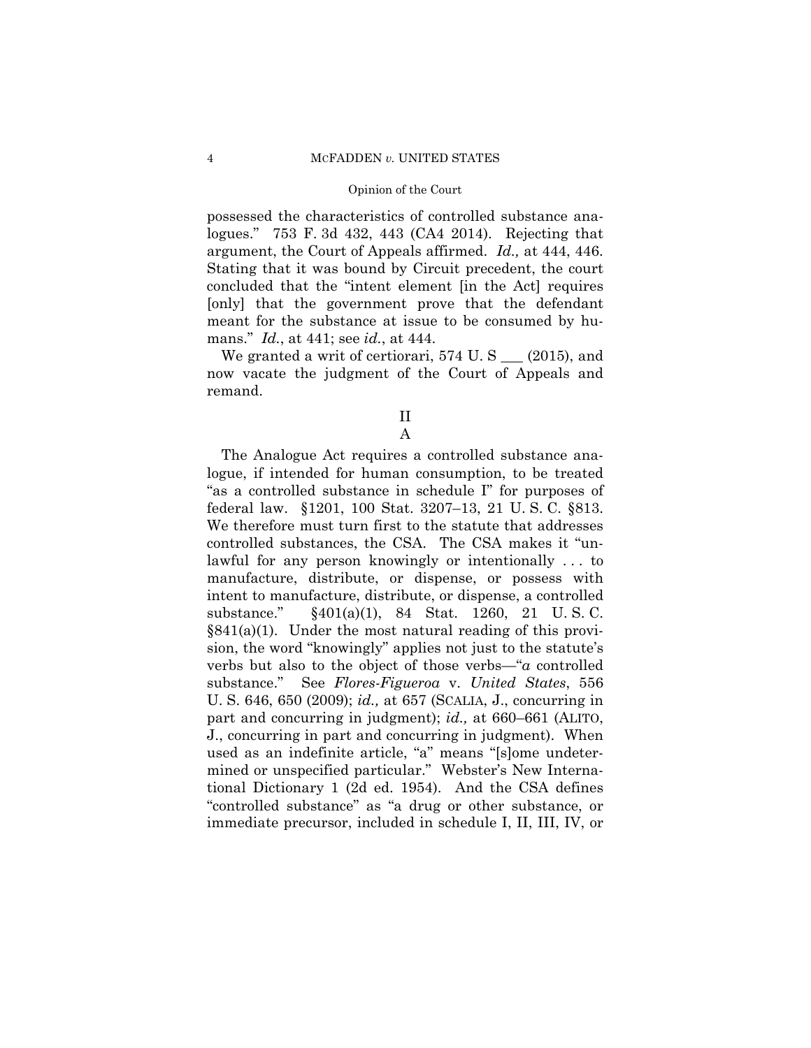possessed the characteristics of controlled substance analogues." 753 F. 3d 432, 443 (CA4 2014). Rejecting that argument, the Court of Appeals affirmed. *Id.,* at 444, 446. Stating that it was bound by Circuit precedent, the court concluded that the "intent element [in the Act] requires [only] that the government prove that the defendant meant for the substance at issue to be consumed by humans." *Id.*, at 441; see *id.*, at 444.

We granted a writ of certiorari,  $574$  U. S  $\_\_$  (2015), and now vacate the judgment of the Court of Appeals and remand.

> II A

The Analogue Act requires a controlled substance analogue, if intended for human consumption, to be treated "as a controlled substance in schedule I" for purposes of federal law. §1201, 100 Stat. 3207–13, 21 U. S. C. §813. We therefore must turn first to the statute that addresses controlled substances, the CSA. The CSA makes it "unlawful for any person knowingly or intentionally . . . to manufacture, distribute, or dispense, or possess with intent to manufacture, distribute, or dispense, a controlled substance." §401(a)(1), 84 Stat. 1260, 21 U. S. C. §841(a)(1). Under the most natural reading of this provision, the word "knowingly" applies not just to the statute's verbs but also to the object of those verbs—"*a* controlled substance." See *Flores-Figueroa* v. *United States*, 556 U. S. 646, 650 (2009); *id.,* at 657 (SCALIA, J., concurring in part and concurring in judgment); *id.,* at 660–661 (ALITO, J., concurring in part and concurring in judgment). When used as an indefinite article, "a" means "[s]ome undetermined or unspecified particular." Webster's New International Dictionary 1 (2d ed. 1954). And the CSA defines "controlled substance" as "a drug or other substance, or immediate precursor, included in schedule I, II, III, IV, or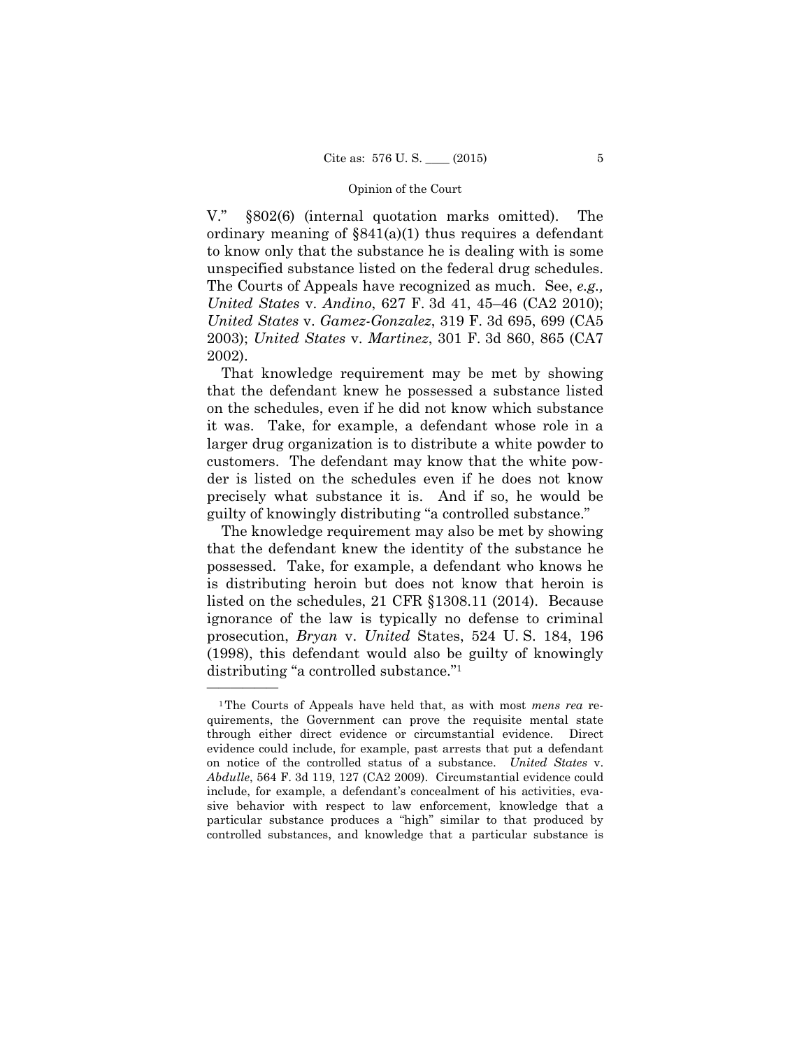V." §802(6) (internal quotation marks omitted). The ordinary meaning of §841(a)(1) thus requires a defendant to know only that the substance he is dealing with is some unspecified substance listed on the federal drug schedules. The Courts of Appeals have recognized as much. See, *e.g., United States* v. *Andino*, 627 F. 3d 41, 45–46 (CA2 2010); *United States* v. *Gamez-Gonzalez*, 319 F. 3d 695, 699 (CA5 2003); *United States* v. *Martinez*, 301 F. 3d 860, 865 (CA7 2002).

That knowledge requirement may be met by showing that the defendant knew he possessed a substance listed on the schedules, even if he did not know which substance it was. Take, for example, a defendant whose role in a larger drug organization is to distribute a white powder to customers. The defendant may know that the white powder is listed on the schedules even if he does not know precisely what substance it is. And if so, he would be guilty of knowingly distributing "a controlled substance."

The knowledge requirement may also be met by showing that the defendant knew the identity of the substance he possessed. Take, for example, a defendant who knows he is distributing heroin but does not know that heroin is listed on the schedules, 21 CFR §1308.11 (2014). Because ignorance of the law is typically no defense to criminal prosecution, *Bryan* v. *United* States, 524 U. S. 184, 196 (1998), this defendant would also be guilty of knowingly distributing "a controlled substance."1

<sup>1</sup>The Courts of Appeals have held that, as with most *mens rea* requirements, the Government can prove the requisite mental state through either direct evidence or circumstantial evidence. Direct evidence could include, for example, past arrests that put a defendant on notice of the controlled status of a substance. *United States* v. *Abdulle*, 564 F. 3d 119, 127 (CA2 2009). Circumstantial evidence could include, for example, a defendant's concealment of his activities, evasive behavior with respect to law enforcement, knowledge that a particular substance produces a "high" similar to that produced by controlled substances, and knowledge that a particular substance is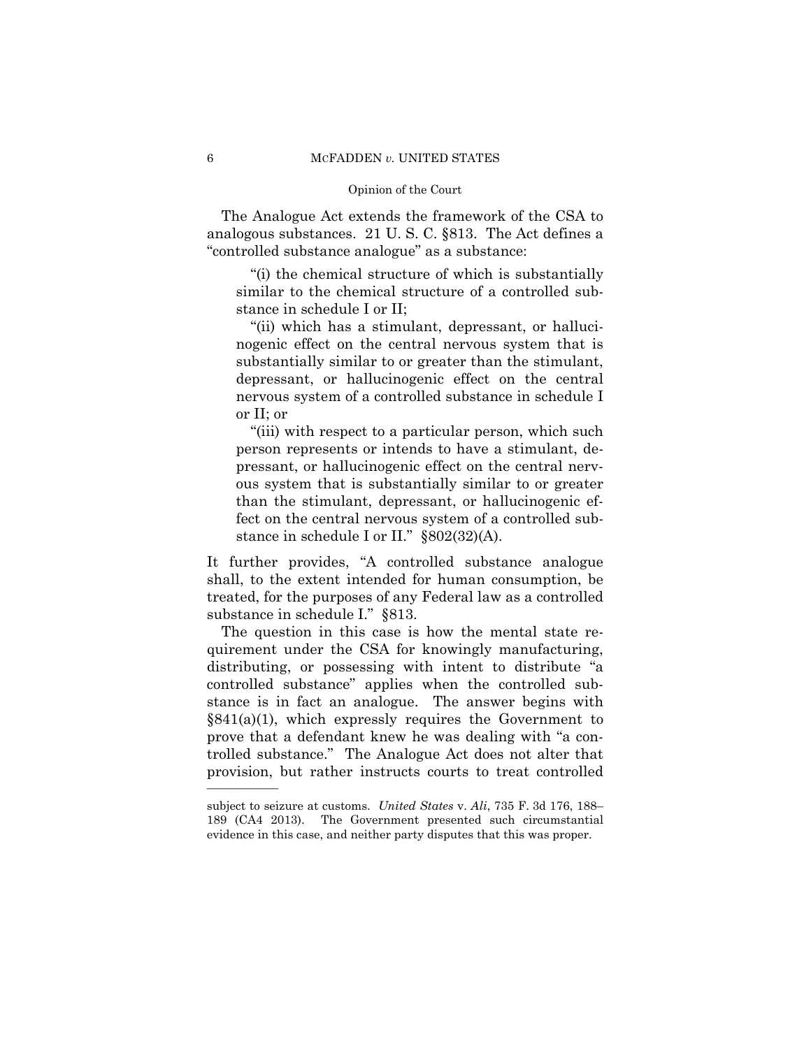The Analogue Act extends the framework of the CSA to analogous substances. 21 U. S. C. §813. The Act defines a "controlled substance analogue" as a substance:

"(i) the chemical structure of which is substantially similar to the chemical structure of a controlled substance in schedule I or II;

"(ii) which has a stimulant, depressant, or hallucinogenic effect on the central nervous system that is substantially similar to or greater than the stimulant, depressant, or hallucinogenic effect on the central nervous system of a controlled substance in schedule I or II; or

"(iii) with respect to a particular person, which such person represents or intends to have a stimulant, depressant, or hallucinogenic effect on the central nervous system that is substantially similar to or greater than the stimulant, depressant, or hallucinogenic effect on the central nervous system of a controlled substance in schedule I or II." §802(32)(A).

It further provides, "A controlled substance analogue shall, to the extent intended for human consumption, be treated, for the purposes of any Federal law as a controlled substance in schedule I." §813.

The question in this case is how the mental state requirement under the CSA for knowingly manufacturing, distributing, or possessing with intent to distribute "a controlled substance" applies when the controlled substance is in fact an analogue. The answer begins with  $§841(a)(1)$ , which expressly requires the Government to prove that a defendant knew he was dealing with "a controlled substance." The Analogue Act does not alter that provision, but rather instructs courts to treat controlled

 subject to seizure at customs. *United States* v. *Ali*, 735 F. 3d 176, 188– 189 (CA4 2013). The Government presented such circumstantial evidence in this case, and neither party disputes that this was proper.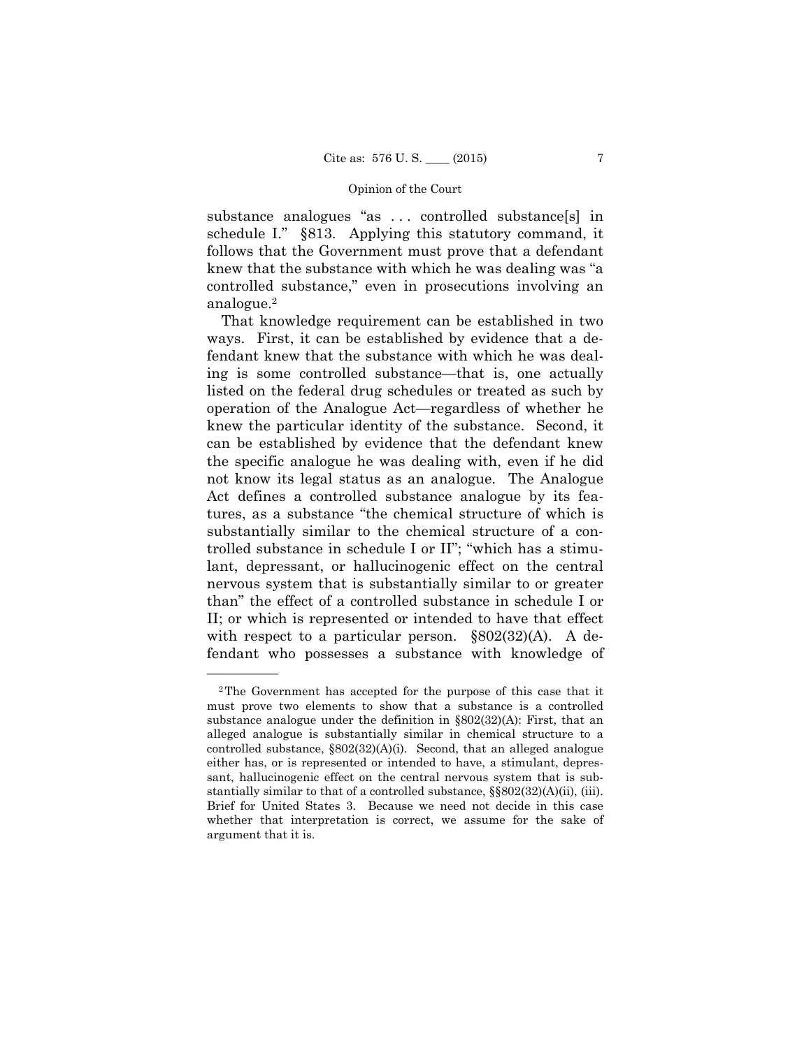substance analogues "as . . . controlled substance[s] in schedule I." §813. Applying this statutory command, it follows that the Government must prove that a defendant knew that the substance with which he was dealing was "a controlled substance," even in prosecutions involving an analogue.2

That knowledge requirement can be established in two ways. First, it can be established by evidence that a defendant knew that the substance with which he was dealing is some controlled substance—that is, one actually listed on the federal drug schedules or treated as such by operation of the Analogue Act—regardless of whether he knew the particular identity of the substance. Second, it can be established by evidence that the defendant knew the specific analogue he was dealing with, even if he did not know its legal status as an analogue. The Analogue Act defines a controlled substance analogue by its features, as a substance "the chemical structure of which is substantially similar to the chemical structure of a controlled substance in schedule I or II"; "which has a stimulant, depressant, or hallucinogenic effect on the central nervous system that is substantially similar to or greater than" the effect of a controlled substance in schedule I or II; or which is represented or intended to have that effect with respect to a particular person.  $\S 802(32)(A)$ . A defendant who possesses a substance with knowledge of

<sup>2</sup>The Government has accepted for the purpose of this case that it must prove two elements to show that a substance is a controlled substance analogue under the definition in §802(32)(A): First, that an alleged analogue is substantially similar in chemical structure to a controlled substance, §802(32)(A)(i). Second, that an alleged analogue either has, or is represented or intended to have, a stimulant, depressant, hallucinogenic effect on the central nervous system that is substantially similar to that of a controlled substance,  $\S$  $802(32)(A)(ii)$ , (iii). Brief for United States 3. Because we need not decide in this case whether that interpretation is correct, we assume for the sake of argument that it is.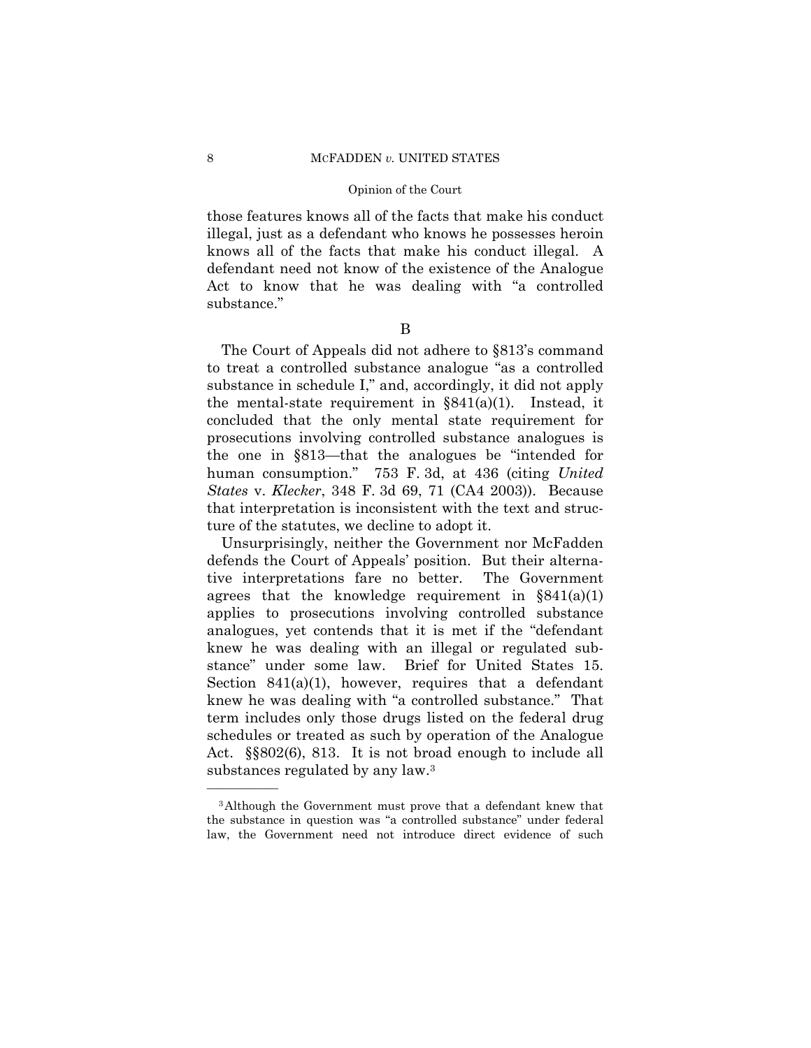those features knows all of the facts that make his conduct illegal, just as a defendant who knows he possesses heroin knows all of the facts that make his conduct illegal. A defendant need not know of the existence of the Analogue Act to know that he was dealing with "a controlled substance."

B

The Court of Appeals did not adhere to §813's command to treat a controlled substance analogue "as a controlled substance in schedule I," and, accordingly, it did not apply the mental-state requirement in  $\S 841(a)(1)$ . Instead, it concluded that the only mental state requirement for prosecutions involving controlled substance analogues is the one in §813—that the analogues be "intended for human consumption." 753 F. 3d, at 436 (citing *United States* v. *Klecker*, 348 F. 3d 69, 71 (CA4 2003)). Because that interpretation is inconsistent with the text and structure of the statutes, we decline to adopt it.

Unsurprisingly, neither the Government nor McFadden defends the Court of Appeals' position. But their alternative interpretations fare no better. The Government agrees that the knowledge requirement in  $\S 841(a)(1)$ applies to prosecutions involving controlled substance analogues, yet contends that it is met if the "defendant knew he was dealing with an illegal or regulated substance" under some law. Brief for United States 15. Section 841(a)(1), however, requires that a defendant knew he was dealing with "a controlled substance." That term includes only those drugs listed on the federal drug schedules or treated as such by operation of the Analogue Act. §§802(6), 813. It is not broad enough to include all substances regulated by any law.3

<sup>3</sup>Although the Government must prove that a defendant knew that the substance in question was "a controlled substance" under federal law, the Government need not introduce direct evidence of such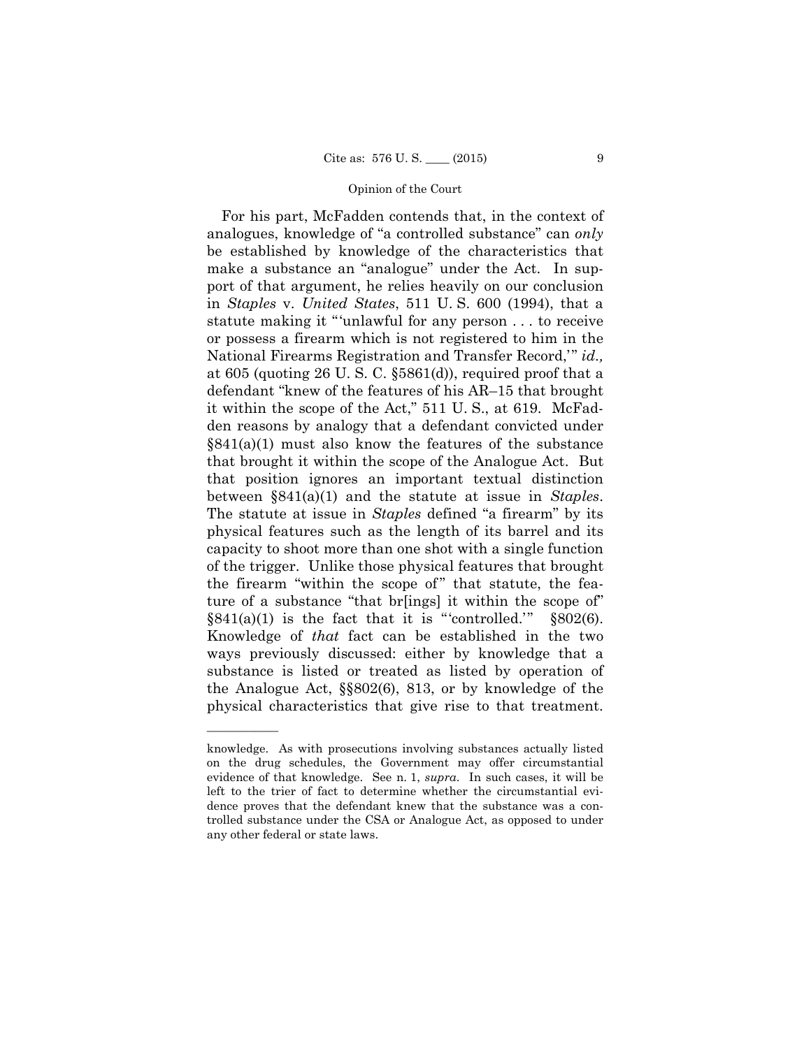For his part, McFadden contends that, in the context of analogues, knowledge of "a controlled substance" can *only* be established by knowledge of the characteristics that make a substance an "analogue" under the Act. In support of that argument, he relies heavily on our conclusion in *Staples* v. *United States*, 511 U. S. 600 (1994), that a statute making it "'unlawful for any person . . . to receive or possess a firearm which is not registered to him in the National Firearms Registration and Transfer Record,'" *id.,*  at 605 (quoting 26 U. S. C. §5861(d)), required proof that a defendant "knew of the features of his AR–15 that brought it within the scope of the Act," 511 U. S., at 619. McFadden reasons by analogy that a defendant convicted under  $\S 841(a)(1)$  must also know the features of the substance that brought it within the scope of the Analogue Act. But that position ignores an important textual distinction between §841(a)(1) and the statute at issue in *Staples*. The statute at issue in *Staples* defined "a firearm" by its physical features such as the length of its barrel and its capacity to shoot more than one shot with a single function of the trigger. Unlike those physical features that brought the firearm "within the scope of" that statute, the feature of a substance "that br[ings] it within the scope of"  $\S 841(a)(1)$  is the fact that it is "controlled."  $\S 802(6)$ . Knowledge of *that* fact can be established in the two ways previously discussed: either by knowledge that a substance is listed or treated as listed by operation of the Analogue Act, §§802(6), 813, or by knowledge of the physical characteristics that give rise to that treatment.

 evidence of that knowledge. See n. 1, *supra*. In such cases, it will be knowledge. As with prosecutions involving substances actually listed on the drug schedules, the Government may offer circumstantial left to the trier of fact to determine whether the circumstantial evidence proves that the defendant knew that the substance was a controlled substance under the CSA or Analogue Act, as opposed to under any other federal or state laws.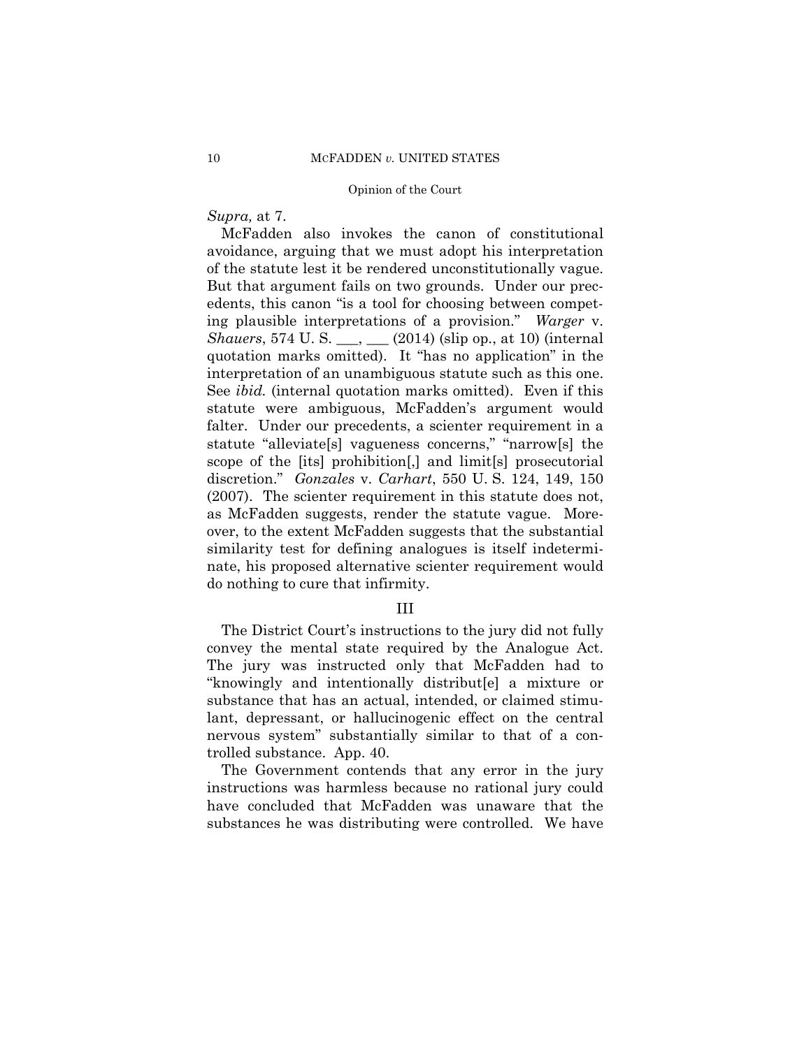*Supra,* at 7.

 interpretation of an unambiguous statute such as this one. McFadden also invokes the canon of constitutional avoidance, arguing that we must adopt his interpretation of the statute lest it be rendered unconstitutionally vague. But that argument fails on two grounds. Under our precedents, this canon "is a tool for choosing between competing plausible interpretations of a provision." *Warger* v. *Shauers*, 574 U. S. \_\_\_, \_\_\_ (2014) (slip op., at 10) (internal quotation marks omitted). It "has no application" in the See *ibid.* (internal quotation marks omitted). Even if this statute were ambiguous, McFadden's argument would falter. Under our precedents, a scienter requirement in a statute "alleviate[s] vagueness concerns," "narrow[s] the scope of the [its] prohibition[,] and limit[s] prosecutorial discretion." *Gonzales* v. *Carhart*, 550 U. S. 124, 149, 150 (2007). The scienter requirement in this statute does not, as McFadden suggests, render the statute vague. Moreover, to the extent McFadden suggests that the substantial similarity test for defining analogues is itself indeterminate, his proposed alternative scienter requirement would do nothing to cure that infirmity.

III

The District Court's instructions to the jury did not fully convey the mental state required by the Analogue Act. The jury was instructed only that McFadden had to "knowingly and intentionally distribut[e] a mixture or substance that has an actual, intended, or claimed stimulant, depressant, or hallucinogenic effect on the central nervous system" substantially similar to that of a controlled substance. App. 40.

The Government contends that any error in the jury instructions was harmless because no rational jury could have concluded that McFadden was unaware that the substances he was distributing were controlled. We have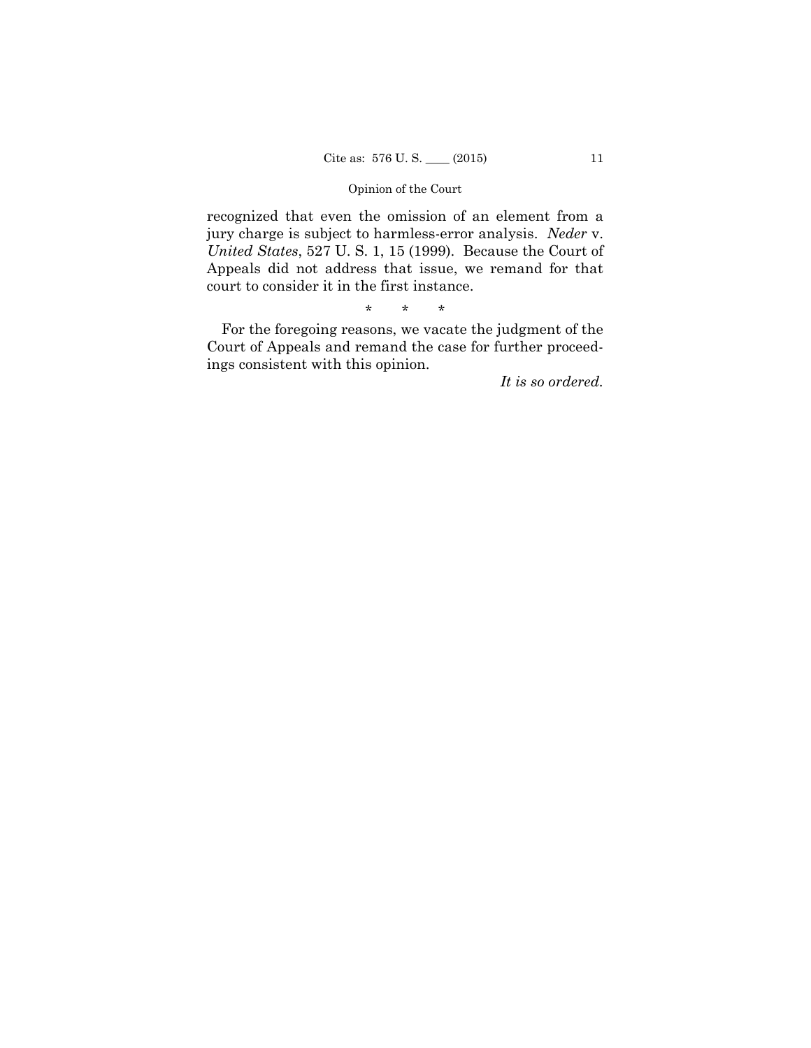recognized that even the omission of an element from a jury charge is subject to harmless-error analysis. *Neder* v. *United States*, 527 U. S. 1, 15 (1999). Because the Court of Appeals did not address that issue, we remand for that court to consider it in the first instance.

\* \* \*

For the foregoing reasons, we vacate the judgment of the Court of Appeals and remand the case for further proceedings consistent with this opinion.

*It is so ordered.*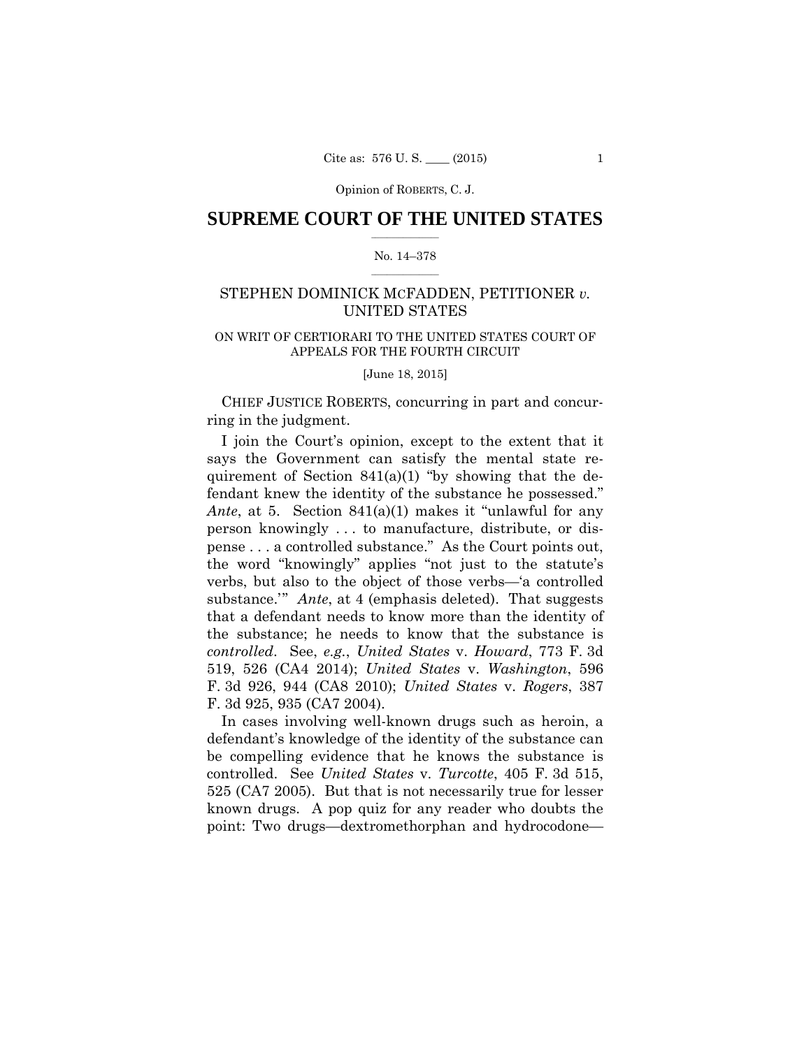Opinion of ROBERTS, C. J.

## $\frac{1}{2}$  , where  $\frac{1}{2}$ **SUPREME COURT OF THE UNITED STATES**

#### $\frac{1}{2}$  ,  $\frac{1}{2}$  ,  $\frac{1}{2}$  ,  $\frac{1}{2}$  ,  $\frac{1}{2}$  ,  $\frac{1}{2}$ No. 14–378

## STEPHEN DOMINICK MCFADDEN, PETITIONER *v.* UNITED STATES

## ON WRIT OF CERTIORARI TO THE UNITED STATES COURT OF APPEALS FOR THE FOURTH CIRCUIT

[June 18, 2015]

CHIEF JUSTICE ROBERTS, concurring in part and concurring in the judgment.

I join the Court's opinion, except to the extent that it says the Government can satisfy the mental state requirement of Section  $841(a)(1)$  "by showing that the defendant knew the identity of the substance he possessed." *Ante*, at 5. Section 841(a)(1) makes it "unlawful for any person knowingly . . . to manufacture, distribute, or dispense . . . a controlled substance." As the Court points out, the word "knowingly" applies "not just to the statute's verbs, but also to the object of those verbs—'a controlled substance." *Ante*, at 4 (emphasis deleted). That suggests that a defendant needs to know more than the identity of the substance; he needs to know that the substance is *controlled*. See, *e.g.*, *United States* v. *Howard*, 773 F. 3d 519, 526 (CA4 2014); *United States* v. *Washington*, 596 F. 3d 926, 944 (CA8 2010); *United States* v. *Rogers*, 387 F. 3d 925, 935 (CA7 2004).

In cases involving well-known drugs such as heroin, a defendant's knowledge of the identity of the substance can be compelling evidence that he knows the substance is controlled. See *United States* v. *Turcotte*, 405 F. 3d 515, 525 (CA7 2005). But that is not necessarily true for lesser known drugs. A pop quiz for any reader who doubts the point: Two drugs—dextromethorphan and hydrocodone—